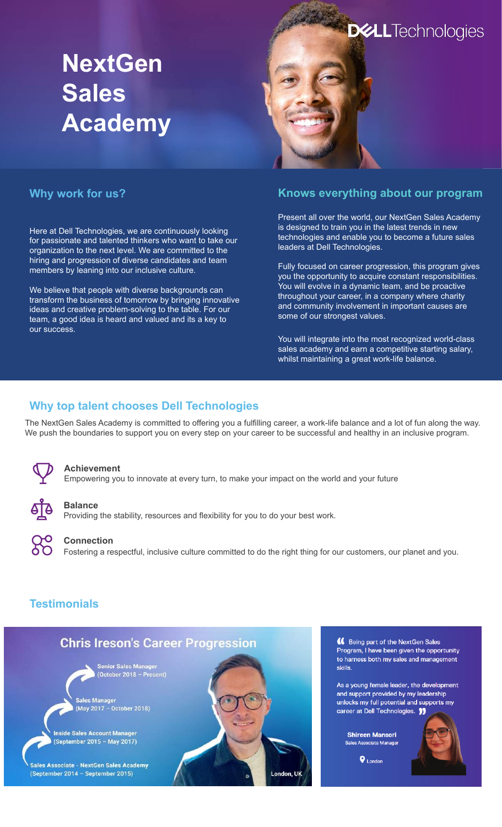# **NextGen Sales Academy**



#### **Why work for us?**

Here at Dell Technologies, we are continuously looking for passionate and talented thinkers who want to take our organization to the next level. We are committed to the hiring and progression of diverse candidates and team members by leaning into our inclusive culture.

We believe that people with diverse backgrounds can transform the business of tomorrow by bringing innovative ideas and creative problem-solving to the table. For our team, a good idea is heard and valued and its a key to our success.

#### **Knows everything about our program**

Present all over the world, our NextGen Sales Academy is designed to train you in the latest trends in new technologies and enable you to become a future sales leaders at Dell Technologies.

Fully focused on career progression, this program gives you the opportunity to acquire constant responsibilities. You will evolve in a dynamic team, and be proactive throughout your career, in a company where charity and community involvement in important causes are some of our strongest values.

You will integrate into the most recognized world-class sales academy and earn a competitive starting salary, whilst maintaining a great work-life balance.

### **Why top talent chooses Dell Technologies**

The NextGen Sales Academy is committed to offering you a fulfilling career, a work-life balance and a lot of fun along the way. We push the boundaries to support you on every step on your career to be successful and healthy in an inclusive program.



#### **Achievement**

Empowering you to innovate at every turn, to make your impact on the world and your future



#### **Balance**

Providing the stability, resources and flexibility for you to do your best work.



#### **Connection**

Fostering a respectful, inclusive culture committed to do the right thing for our customers, our planet and you.

# **Testimonials**



66 Being part of the NextGen Sales Program, I have been given the opportunity to harness both my sales and management skills.

As a young female leader, the development and support provided by my leadership unlocks my full potential and supports my career at Dell Technologies. <sup>11</sup>

**Shireen Mansori Sales Associate Manager** 

 $\bullet$  London